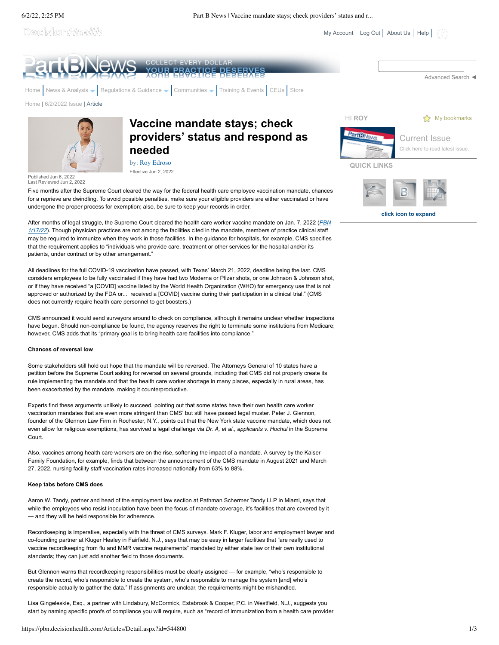6/2/22, 2:25 PM Part B News | Vaccine mandate stays; check providers' status and r...

Decision*Health* 

 $My Account$  [Log Out](javascript:__doPostBack() | [About Us](https://pbn.decisionhealth.com/About/Default.aspx) | [Help](https://pbn.decisionhealth.com/About/Help.aspx) |



All deadlines for the full COVID-19 vaccination have passed, with Texas' March 21, 2022, deadline being the last. CMS considers employees to be fully vaccinated if they have had two Moderna or Pfizer shots, or one Johnson & Johnson shot, or if they have received "a [COVID] vaccine listed by the World Health Organization (WHO) for emergency use that is not approved or authorized by the FDA or... received a [COVID] vaccine during their participation in a clinical trial." (CMS does not currently require health care personnel to get boosters.)

CMS announced it would send surveyors around to check on compliance, although it remains unclear whether inspections have begun. Should non-compliance be found, the agency reserves the right to terminate some institutions from Medicare; however, CMS adds that its "primary goal is to bring health care facilities into compliance."

## **Chances of reversal low**

patients, under contract or by other arrangement."

Some stakeholders still hold out hope that the mandate will be reversed. The Attorneys General of 10 states have a petition before the Supreme Court asking for reversal on several grounds, including that CMS did not properly create its rule implementing the mandate and that the health care worker shortage in many places, especially in rural areas, has been exacerbated by the mandate, making it counterproductive.

Experts find these arguments unlikely to succeed, pointing out that some states have their own health care worker vaccination mandates that are even more stringent than CMS' but still have passed legal muster. Peter J. Glennon, founder of the Glennon Law Firm in Rochester, N.Y., points out that the New York state vaccine mandate, which does not even allow for religious exemptions, has survived a legal challenge via *Dr. A, et al., applicants v. Hochul* in the Supreme Court.

Also, vaccines among health care workers are on the rise, softening the impact of a mandate. A survey by the Kaiser Family Foundation, for example, finds that between the announcement of the CMS mandate in August 2021 and March 27, 2022, nursing facility staff vaccination rates increased nationally from 63% to 88%.

#### **Keep tabs before CMS does**

Aaron W. Tandy, partner and head of the employment law section at Pathman Schermer Tandy LLP in Miami, says that while the employees who resist inoculation have been the focus of mandate coverage, it's facilities that are covered by it — and they will be held responsible for adherence.

Recordkeeping is imperative, especially with the threat of CMS surveys. Mark F. Kluger, labor and employment lawyer and co-founding partner at Kluger Healey in Fairfield, N.J., says that may be easy in larger facilities that "are really used to vaccine recordkeeping from flu and MMR vaccine requirements" mandated by either state law or their own institutional standards; they can just add another field to those documents.

But Glennon warns that recordkeeping responsibilities must be clearly assigned — for example, "who's responsible to create the record, who's responsible to create the system, who's responsible to manage the system [and] who's responsible actually to gather the data." If assignments are unclear, the requirements might be mishandled.

Lisa Gingeleskie, Esq., a partner with Lindabury, McCormick, Estabrook & Cooper, P.C. in Westfield, N.J., suggests you start by naming specific proofs of compliance you will require, such as "record of immunization from a health care provider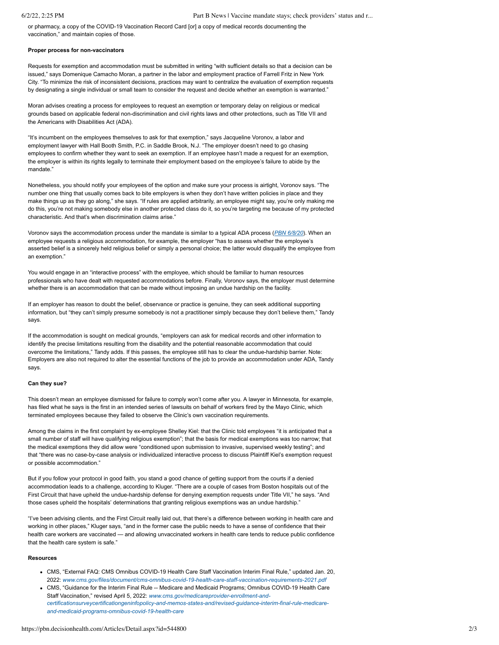or pharmacy, a copy of the COVID-19 Vaccination Record Card [or] a copy of medical records documenting the vaccination," and maintain copies of those.

## **Proper process for non-vaccinators**

Requests for exemption and accommodation must be submitted in writing "with sufficient details so that a decision can be issued," says Domenique Camacho Moran, a partner in the labor and employment practice of Farrell Fritz in New York City. "To minimize the risk of inconsistent decisions, practices may want to centralize the evaluation of exemption requests by designating a single individual or small team to consider the request and decide whether an exemption is warranted."

Moran advises creating a process for employees to request an exemption or temporary delay on religious or medical grounds based on applicable federal non-discrimination and civil rights laws and other protections, such as Title VII and the Americans with Disabilities Act (ADA).

"It's incumbent on the employees themselves to ask for that exemption," says Jacqueline Voronov, a labor and employment lawyer with Hall Booth Smith, P.C. in Saddle Brook, N.J. "The employer doesn't need to go chasing employees to confirm whether they want to seek an exemption. If an employee hasn't made a request for an exemption, the employer is within its rights legally to terminate their employment based on the employee's failure to abide by the mandate<sup>'</sup>

Nonetheless, you should notify your employees of the option and make sure your process is airtight, Voronov says. "The number one thing that usually comes back to bite employers is when they don't have written policies in place and they make things up as they go along," she says. "If rules are applied arbitrarily, an employee might say, you're only making me do this, you're not making somebody else in another protected class do it, so you're targeting me because of my protected characteristic. And that's when discrimination claims arise."

Voronov says the accommodation process under the mandate is similar to a typical ADA process (*[PBN 6/8/20](https://pbn.decisionhealth.com/Articles/Detail.aspx?id=531626)*). When an employee requests a religious accommodation, for example, the employer "has to assess whether the employee's asserted belief is a sincerely held religious belief or simply a personal choice; the latter would disqualify the employee from an exemption."

You would engage in an "interactive process" with the employee, which should be familiar to human resources professionals who have dealt with requested accommodations before. Finally, Voronov says, the employer must determine whether there is an accommodation that can be made without imposing an undue hardship on the facility.

If an employer has reason to doubt the belief, observance or practice is genuine, they can seek additional supporting information, but "they can't simply presume somebody is not a practitioner simply because they don't believe them," Tandy says.

If the accommodation is sought on medical grounds, "employers can ask for medical records and other information to identify the precise limitations resulting from the disability and the potential reasonable accommodation that could overcome the limitations," Tandy adds. If this passes, the employee still has to clear the undue-hardship barrier. Note: Employers are also not required to alter the essential functions of the job to provide an accommodation under ADA, Tandy says.

# **Can they sue?**

This doesn't mean an employee dismissed for failure to comply won't come after you. A lawyer in Minnesota, for example, has filed what he says is the first in an intended series of lawsuits on behalf of workers fired by the Mayo Clinic, which terminated employees because they failed to observe the Clinic's own vaccination requirements.

Among the claims in the first complaint by ex-employee Shelley Kiel: that the Clinic told employees "it is anticipated that a small number of staff will have qualifying religious exemption"; that the basis for medical exemptions was too narrow; that the medical exemptions they did allow were "conditioned upon submission to invasive, supervised weekly testing"; and that "there was no case-by-case analysis or individualized interactive process to discuss Plaintiff Kiel's exemption request or possible accommodation."

But if you follow your protocol in good faith, you stand a good chance of getting support from the courts if a denied accommodation leads to a challenge, according to Kluger. "There are a couple of cases from Boston hospitals out of the First Circuit that have upheld the undue-hardship defense for denying exemption requests under Title VII," he says. "And those cases upheld the hospitals' determinations that granting religious exemptions was an undue hardship."

"I've been advising clients, and the First Circuit really laid out, that there's a difference between working in health care and working in other places," Kluger says, "and in the former case the public needs to have a sense of confidence that their health care workers are vaccinated — and allowing unvaccinated workers in health care tends to reduce public confidence that the health care system is safe."

#### **Resources**

- CMS, "External FAQ: CMS Omnibus COVID-19 Health Care Staff Vaccination Interim Final Rule," updated Jan. 20, 2022: *[www.cms.gov/files/document/cms-omnibus-covid-19-health-care-staff-vaccination-requirements-2021.pdf](http://www.cms.gov/files/document/cms-omnibus-covid-19-health-care-staff-vaccination-requirements-2021.pdf)*
- CMS, "Guidance for the Interim Final Rule -- Medicare and Medicaid Programs; Omnibus COVID-19 Health Care Staff Vaccination," revised April 5, 2022: *www.cms.gov/medicareprovider-enrollment-and[certificationsurveycertificationgeninfopolicy-and-memos-states-and/revised-guidance-interim-final-rule-medicare](http://www.cms.gov/medicareprovider-enrollment-and-certificationsurveycertificationgeninfopolicy-and-memos-states-and/revised-guidance-interim-final-rule-medicare-and-medicaid-programs-omnibus-covid-19-health-care)and-medicaid-programs-omnibus-covid-19-health-care*